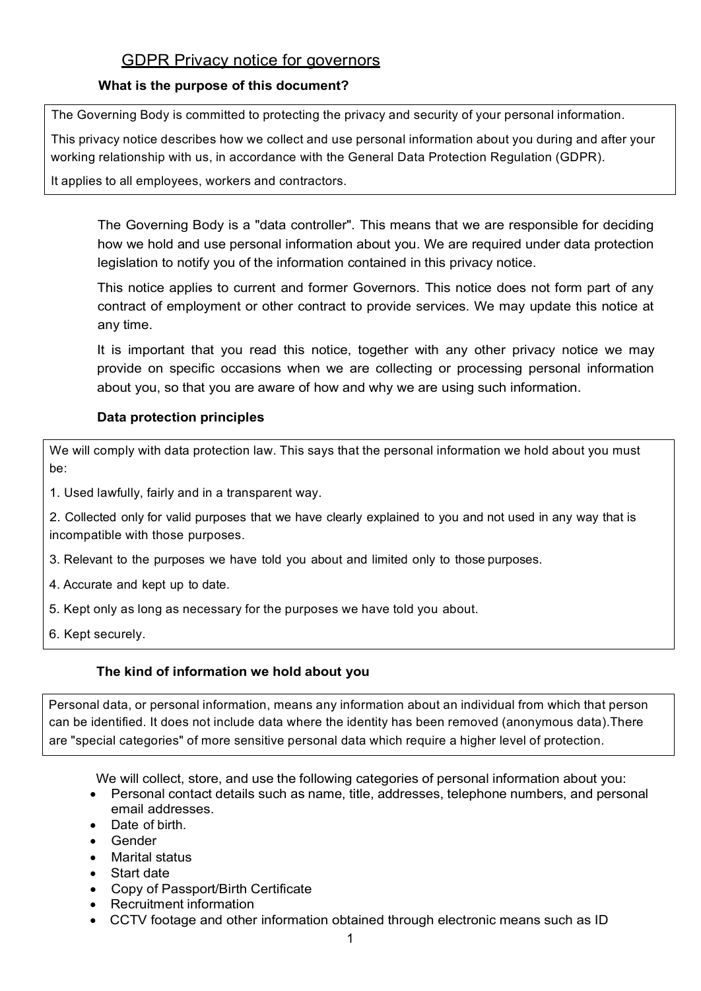# **GDPR Privacy notice for governors**

### **What is the purpose of this document?**

The Governing Body is committed to protecting the privacy and security of your personal information.

This privacy notice describes how we collect and use personal information about you during and after your working relationship with us, in accordance with the General Data Protection Regulation (GDPR).

It applies to all employees, workers and contractors.

The Governing Body is a "data controller". This means that we are responsible for deciding how we hold and use personal information about you. We are required under data protection legislation to notify you of the information contained in this privacy notice.

This notice applies to current and former Governors. This notice does not form part of any contract of employment or other contract to provide services. We may update this notice at any time.

It is important that you read this notice, together with any other privacy notice we may provide on specific occasions when we are collecting or processing personal information about you, so that you are aware of how and why we are using such information.

# **Data protection principles**

We will comply with data protection law. This says that the personal information we hold about you must be:

1. Used lawfully, fairly and in a transparent way.

2. Collected only for valid purposes that we have clearly explained to you and not used in any way that is incompatible with those purposes.

- 3. Relevant to the purposes we have told you about and limited only to those purposes.
- 4. Accurate and kept up to date.
- 5. Kept only as long as necessary for the purposes we have told you about.
- 6. Kept securely.

#### **The kind of information we hold about you**

Personal data, or personal information, means any information about an individual from which that person can be identified. It does not include data where the identity has been removed (anonymous data).There are "special categories" of more sensitive personal data which require a higher level of protection.

We will collect, store, and use the following categories of personal information about you:

- Personal contact details such as name, title, addresses, telephone numbers, and personal email addresses.
- Date of birth.
- Gender
- Marital status
- Start date
- Copy of Passport/Birth Certificate
- Recruitment information
- CCTV footage and other information obtained through electronic means such as ID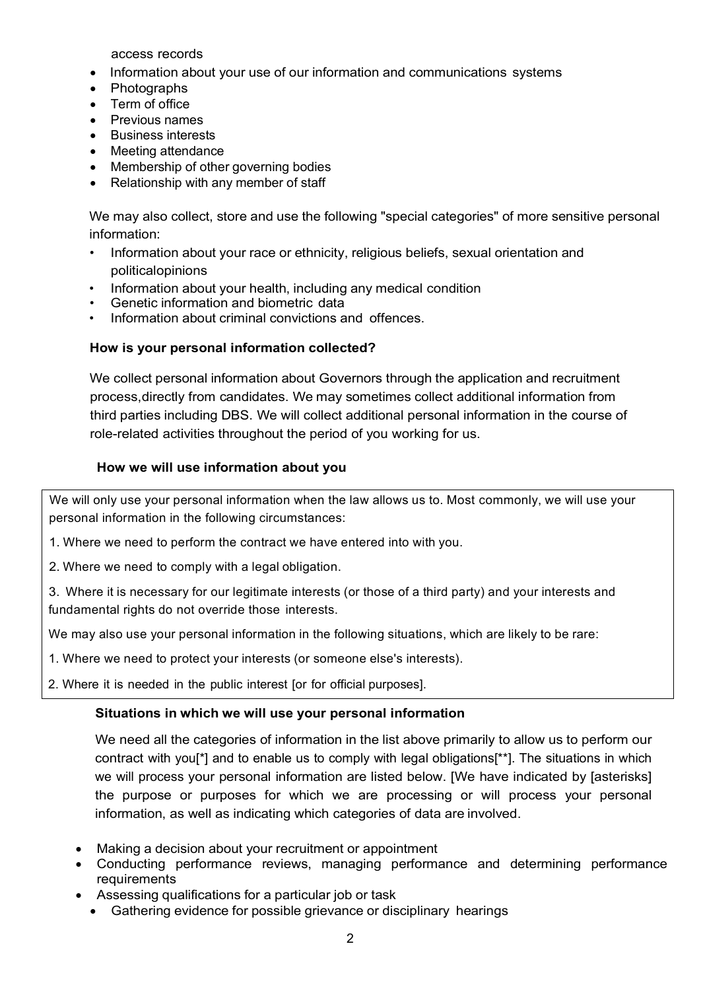access records

- Information about your use of our information and communications systems
- **Photographs**
- Term of office
- Previous names
- Business interests
- Meeting attendance
- Membership of other governing bodies
- Relationship with any member of staff

We may also collect, store and use the following "special categories" of more sensitive personal information:

- Information about your race or ethnicity, religious beliefs, sexual orientation and politicalopinions
- Information about your health, including any medical condition
- Genetic information and biometric data
- Information about criminal convictions and offences.

### **How is your personal information collected?**

We collect personal information about Governors through the application and recruitment process,directly from candidates. We may sometimes collect additional information from third parties including DBS. We will collect additional personal information in the course of role-related activities throughout the period of you working for us.

### **How we will use information about you**

We will only use your personal information when the law allows us to. Most commonly, we will use your personal information in the following circumstances:

1. Where we need to perform the contract we have entered into with you.

2. Where we need to comply with a legal obligation.

3. Where it is necessary for our legitimate interests (or those of a third party) and your interests and fundamental rights do not override those interests.

We may also use your personal information in the following situations, which are likely to be rare:

1. Where we need to protect your interests (or someone else's interests).

2. Where it is needed in the public interest [or for official purposes].

# **Situations in which we will use your personal information**

We need all the categories of information in the list above primarily to allow us to perform our contract with you[\*] and to enable us to comply with legal obligations[\*\*]. The situations in which we will process your personal information are listed below. [We have indicated by [asterisks] the purpose or purposes for which we are processing or will process your personal information, as well as indicating which categories of data are involved.

- Making a decision about your recruitment or appointment
- Conducting performance reviews, managing performance and determining performance requirements
- Assessing qualifications for a particular job or task
	- Gathering evidence for possible grievance or disciplinary hearings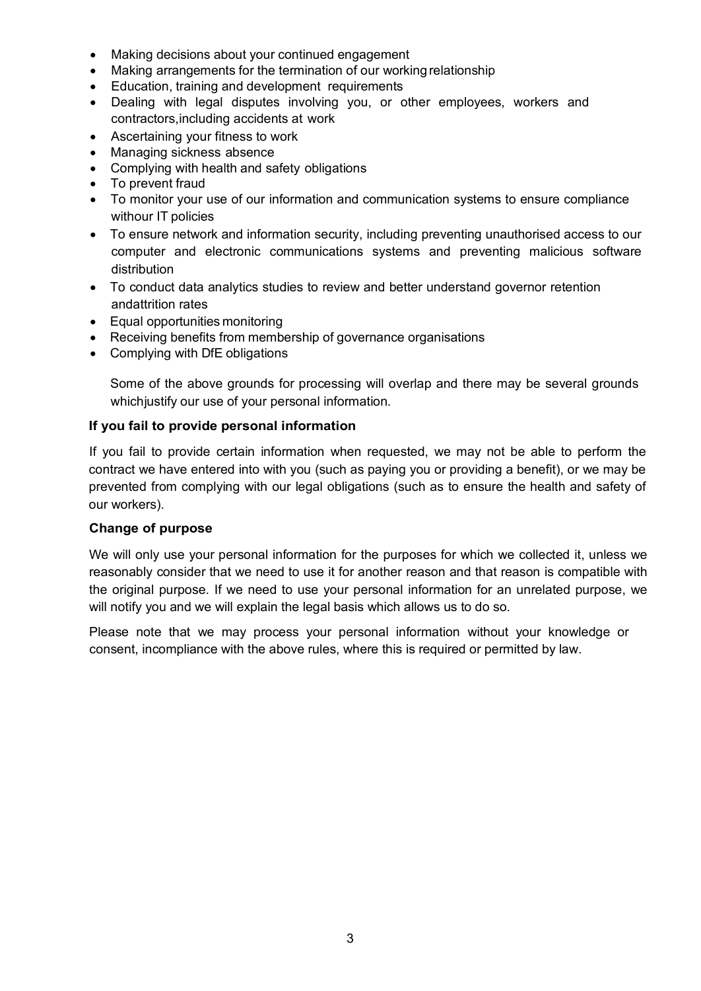- Making decisions about your continued engagement
- Making arrangements for the termination of our working relationship
- Education, training and development requirements
- Dealing with legal disputes involving you, or other employees, workers and contractors,including accidents at work
- Ascertaining your fitness to work
- Managing sickness absence
- Complying with health and safety obligations
- To prevent fraud
- To monitor your use of our information and communication systems to ensure compliance withour IT policies
- To ensure network and information security, including preventing unauthorised access to our computer and electronic communications systems and preventing malicious software distribution
- To conduct data analytics studies to review and better understand governor retention andattrition rates
- Equal opportunities monitoring
- Receiving benefits from membership of governance organisations
- Complying with DfE obligations

Some of the above grounds for processing will overlap and there may be several grounds whichjustify our use of your personal information.

### **If you fail to provide personal information**

If you fail to provide certain information when requested, we may not be able to perform the contract we have entered into with you (such as paying you or providing a benefit), or we may be prevented from complying with our legal obligations (such as to ensure the health and safety of our workers).

#### **Change of purpose**

We will only use your personal information for the purposes for which we collected it, unless we reasonably consider that we need to use it for another reason and that reason is compatible with the original purpose. If we need to use your personal information for an unrelated purpose, we will notify you and we will explain the legal basis which allows us to do so.

Please note that we may process your personal information without your knowledge or consent, incompliance with the above rules, where this is required or permitted by law.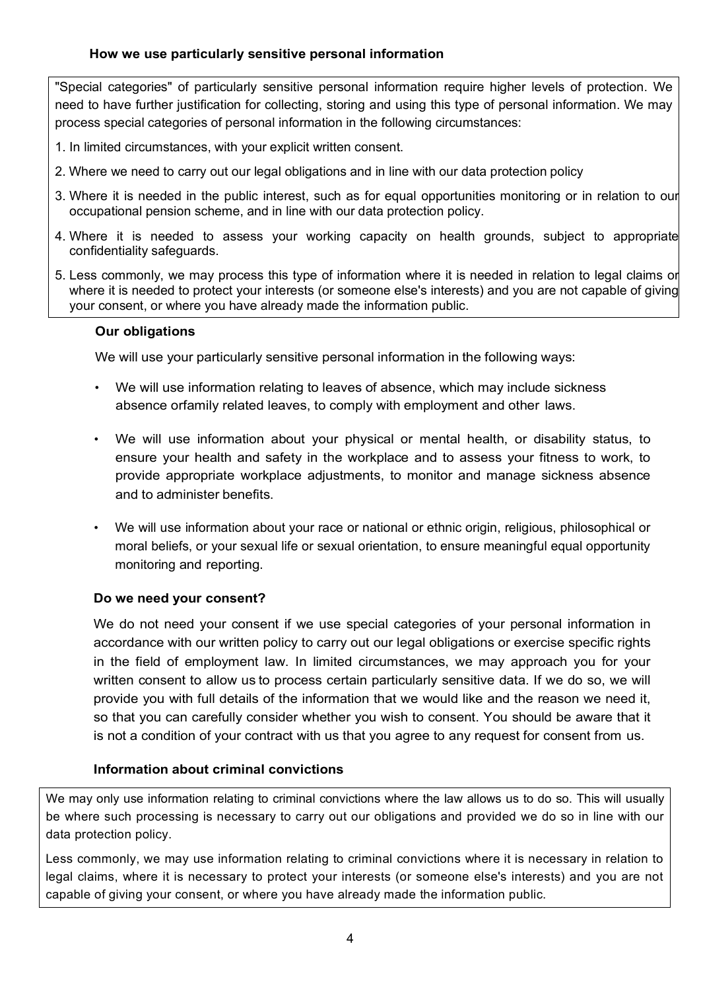### **How we use particularly sensitive personal information**

"Special categories" of particularly sensitive personal information require higher levels of protection. We need to have further justification for collecting, storing and using this type of personal information. We may process special categories of personal information in the following circumstances:

- 1. In limited circumstances, with your explicit written consent.
- 2. Where we need to carry out our legal obligations and in line with our data protection policy
- 3. Where it is needed in the public interest, such as for equal opportunities monitoring or in relation to our occupational pension scheme, and in line with our data protection policy.
- 4. Where it is needed to assess your working capacity on health grounds, subject to appropriate confidentiality safeguards.
- 5. Less commonly, we may process this type of information where it is needed in relation to legal claims or where it is needed to protect your interests (or someone else's interests) and you are not capable of giving your consent, or where you have already made the information public.

#### **Our obligations**

We will use your particularly sensitive personal information in the following ways:

- We will use information relating to leaves of absence, which may include sickness absence orfamily related leaves, to comply with employment and other laws.
- We will use information about your physical or mental health, or disability status, to ensure your health and safety in the workplace and to assess your fitness to work, to provide appropriate workplace adjustments, to monitor and manage sickness absence and to administer benefits.
- We will use information about your race or national or ethnic origin, religious, philosophical or moral beliefs, or your sexual life or sexual orientation, to ensure meaningful equal opportunity monitoring and reporting.

#### **Do we need your consent?**

We do not need your consent if we use special categories of your personal information in accordance with our written policy to carry out our legal obligations or exercise specific rights in the field of employment law. In limited circumstances, we may approach you for your written consent to allow us to process certain particularly sensitive data. If we do so, we will provide you with full details of the information that we would like and the reason we need it, so that you can carefully consider whether you wish to consent. You should be aware that it is not a condition of your contract with us that you agree to any request for consent from us.

#### **Information about criminal convictions**

We may only use information relating to criminal convictions where the law allows us to do so. This will usually be where such processing is necessary to carry out our obligations and provided we do so in line with our data protection policy.

Less commonly, we may use information relating to criminal convictions where it is necessary in relation to legal claims, where it is necessary to protect your interests (or someone else's interests) and you are not capable of giving your consent, or where you have already made the information public.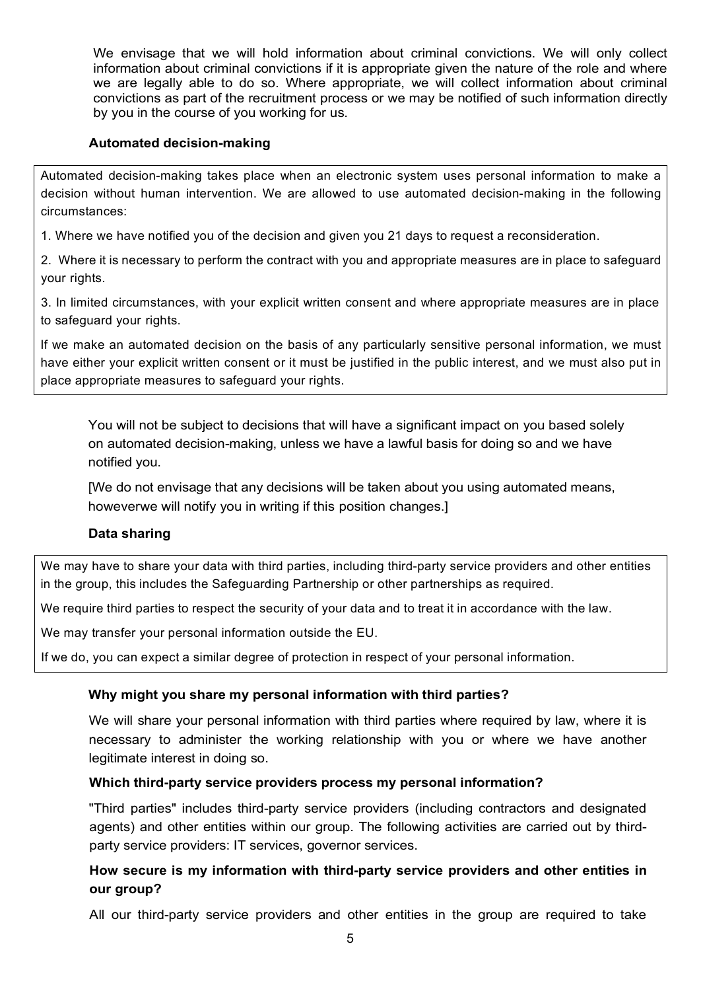We envisage that we will hold information about criminal convictions. We will only collect information about criminal convictions if it is appropriate given the nature of the role and where we are legally able to do so. Where appropriate, we will collect information about criminal convictions as part of the recruitment process or we may be notified of such information directly by you in the course of you working for us.

### **Automated decision-making**

Automated decision-making takes place when an electronic system uses personal information to make a decision without human intervention. We are allowed to use automated decision-making in the following circumstances:

1. Where we have notified you of the decision and given you 21 days to request a reconsideration.

2. Where it is necessary to perform the contract with you and appropriate measures are in place to safeguard your rights.

3. In limited circumstances, with your explicit written consent and where appropriate measures are in place to safeguard your rights.

If we make an automated decision on the basis of any particularly sensitive personal information, we must have either your explicit written consent or it must be justified in the public interest, and we must also put in place appropriate measures to safeguard your rights.

You will not be subject to decisions that will have a significant impact on you based solely on automated decision-making, unless we have a lawful basis for doing so and we have notified you.

[We do not envisage that any decisions will be taken about you using automated means, howeverwe will notify you in writing if this position changes.]

# **Data sharing**

We may have to share your data with third parties, including third-party service providers and other entities in the group, this includes the Safeguarding Partnership or other partnerships as required.

We require third parties to respect the security of your data and to treat it in accordance with the law.

We may transfer your personal information outside the EU.

If we do, you can expect a similar degree of protection in respect of your personal information.

# **Why might you share my personal information with third parties?**

We will share your personal information with third parties where required by law, where it is necessary to administer the working relationship with you or where we have another legitimate interest in doing so.

#### **Which third-party service providers process my personal information?**

"Third parties" includes third-party service providers (including contractors and designated agents) and other entities within our group. The following activities are carried out by thirdparty service providers: IT services, governor services.

# **How secure is my information with third-party service providers and other entities in our group?**

All our third-party service providers and other entities in the group are required to take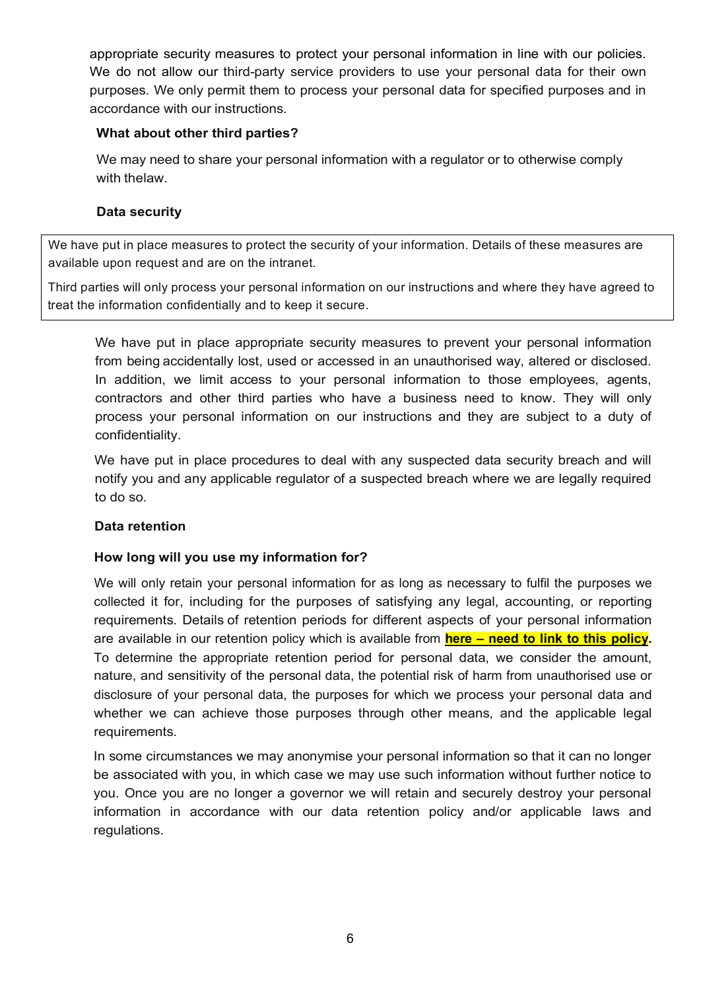appropriate security measures to protect your personal information in line with our policies. We do not allow our third-party service providers to use your personal data for their own purposes. We only permit them to process your personal data for specified purposes and in accordance with our instructions.

### **What about other third parties?**

We may need to share your personal information with a regulator or to otherwise comply with thelaw.

### **Data security**

We have put in place measures to protect the security of your information. Details of these measures are available upon request and are on the intranet.

Third parties will only process your personal information on our instructions and where they have agreed to treat the information confidentially and to keep it secure.

We have put in place appropriate security measures to prevent your personal information from being accidentally lost, used or accessed in an unauthorised way, altered or disclosed. In addition, we limit access to your personal information to those employees, agents, contractors and other third parties who have a business need to know. They will only process your personal information on our instructions and they are subject to a duty of confidentiality.

We have put in place procedures to deal with any suspected data security breach and will notify you and any applicable regulator of a suspected breach where we are legally required to do so.

#### **Data retention**

# **How long will you use my information for?**

We will only retain your personal information for as long as necessary to fulfil the purposes we collected it for, including for the purposes of satisfying any legal, accounting, or reporting requirements. Details of retention periods for different aspects of your personal information are available in our retention policy which is available from **here – need to link to this policy.** To determine the appropriate retention period for personal data, we consider the amount, nature, and sensitivity of the personal data, the potential risk of harm from unauthorised use or disclosure of your personal data, the purposes for which we process your personal data and whether we can achieve those purposes through other means, and the applicable legal requirements.

In some circumstances we may anonymise your personal information so that it can no longer be associated with you, in which case we may use such information without further notice to you. Once you are no longer a governor we will retain and securely destroy your personal information in accordance with our data retention policy and/or applicable laws and regulations.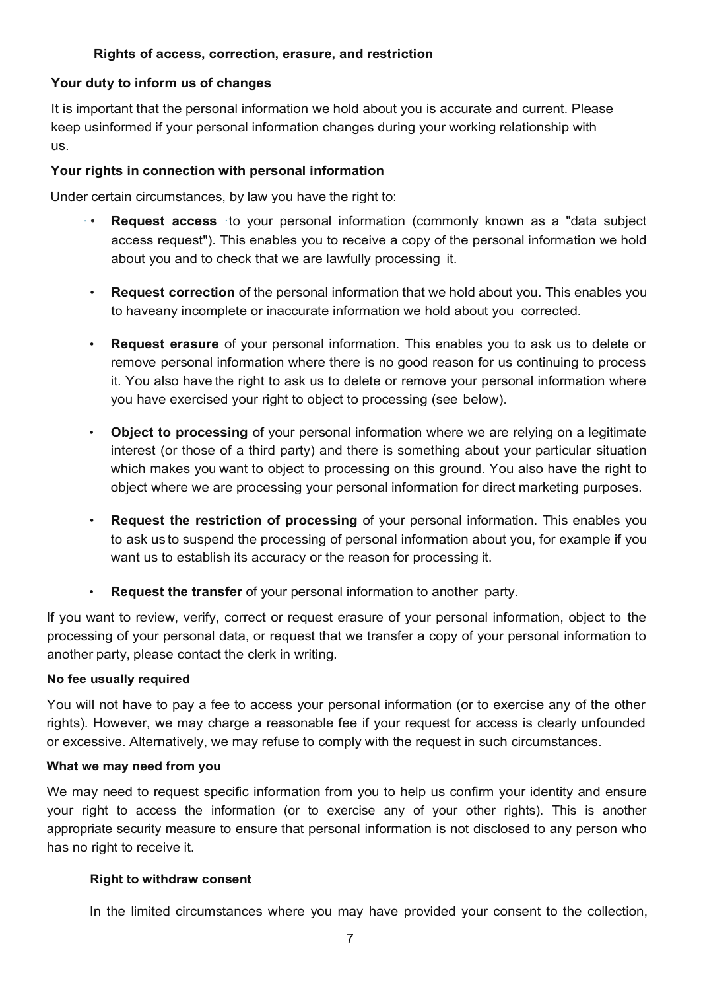# **Rights of access, correction, erasure, and restriction**

### **Your duty to inform us of changes**

It is important that the personal information we hold about you is accurate and current. Please keep usinformed if your personal information changes during your working relationship with us.

#### **Your rights in connection with personal information**

Under certain circumstances, by law you have the right to:

- **Request access** to your personal information (commonly known as a "data subject") access request"). This enables you to receive a copy of the personal information we hold about you and to check that we are lawfully processing it.
- **Request correction** of the personal information that we hold about you. This enables you to haveany incomplete or inaccurate information we hold about you corrected.
- **Request erasure** of your personal information. This enables you to ask us to delete or remove personal information where there is no good reason for us continuing to process it. You also have the right to ask us to delete or remove your personal information where you have exercised your right to object to processing (see below).
- **Object to processing** of your personal information where we are relying on a legitimate interest (or those of a third party) and there is something about your particular situation which makes you want to object to processing on this ground. You also have the right to object where we are processing your personal information for direct marketing purposes.
- **Request the restriction of processing** of your personal information. This enables you to ask us to suspend the processing of personal information about you, for example if you want us to establish its accuracy or the reason for processing it.
- **Request the transfer** of your personal information to another party.

If you want to review, verify, correct or request erasure of your personal information, object to the processing of your personal data, or request that we transfer a copy of your personal information to another party, please contact the clerk in writing.

#### **No fee usually required**

You will not have to pay a fee to access your personal information (or to exercise any of the other rights). However, we may charge a reasonable fee if your request for access is clearly unfounded or excessive. Alternatively, we may refuse to comply with the request in such circumstances.

#### **What we may need from you**

We may need to request specific information from you to help us confirm your identity and ensure your right to access the information (or to exercise any of your other rights). This is another appropriate security measure to ensure that personal information is not disclosed to any person who has no right to receive it.

#### **Right to withdraw consent**

In the limited circumstances where you may have provided your consent to the collection,